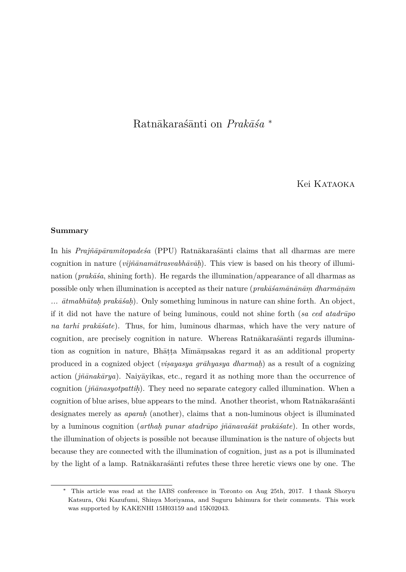# Ratnākaraśānti on *Prakāśa* <sup>∗</sup>

# Kei Kataoka

#### **Summary**

In his *Prajñāpāramitopadesa* (PPU) Ratnākaraśānti claims that all dharmas are mere cognition in nature (*vijñānamātrasvabhāvāh*). This view is based on his theory of illumination (*prakāša*, shining forth). He regards the illumination/appearance of all dharmas as possible only when illumination is accepted as their nature (*prak* $\bar{a}$ *sam* $\bar{a}$ *n* $\bar{a}$ *m* $\bar{a}$ *nam* $\bar{a}$ *nam* ...  $\bar{a}tmabh\bar{a}tah\ prak\bar{a}sah$ . Only something luminous in nature can shine forth. An object, if it did not have the nature of being luminous, could not shine forth (*sa ced atadrūpo*) *na tarhi prakāšate*). Thus, for him, luminous dharmas, which have the very nature of cognition, are precisely cognition in nature. Whereas Ratnākaras $\tilde{a}$ anti regards illumination as cognition in nature, Bhāṭṭa Mīmāṃsakas regard it as an additional property produced in a cognized object (*visayasya grāhyasya dharmah*) as a result of a cognizing action ( $\hat{\eta}$ *ñ̄ānakārya*). Naiyāyikas, etc., regard it as nothing more than the occurrence of cognition (*jñānasyotpattih*). They need no separate category called illumination. When a cognition of blue arises, blue appears to the mind. Another theorist, whom Ratnākaras´anti designates merely as *aparah* (another), claims that a non-luminous object is illuminated by a luminous cognition (*arthah punar atadrūpo jñānavaśāt prakāśate*). In other words, the illumination of objects is possible not because illumination is the nature of objects but because they are connected with the illumination of cognition, just as a pot is illuminated by the light of a lamp. Ratn $\bar{a}$ karas´anti refutes these three heretic views one by one. The

<sup>∗</sup> This article was read at the IABS conference in Toronto on Aug 25th, 2017. I thank Shoryu Katsura, Oki Kazufumi, Shinya Moriyama, and Suguru Ishimura for their comments. This work was supported by KAKENHI 15H03159 and 15K02043.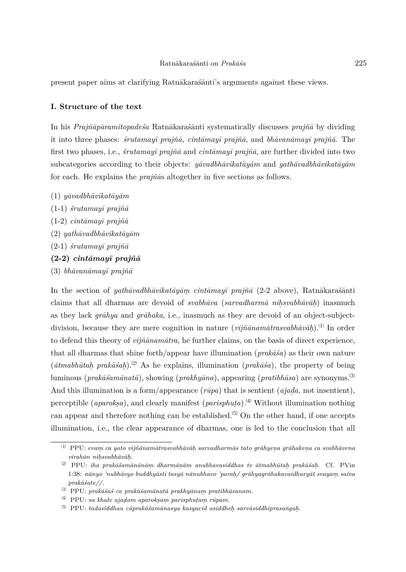present paper aims at clarifying Ratn $\bar{a}$ karas´anti's arguments against these views.

## **I. Structure of the text**

In his *Prajñāpāramitopadeśa* Ratnākaraśānti systematically discusses *prajñā* by dividing it into three phases: *śrutamayī prajñā*, *cintāmayī prajñā*, and *bhāvanāmayī prajñā*. The first two phases, i.e., *śrutamayī prajñā* and *cintāmayī prajñā*, are further divided into two subcategories according to their objects: *y* $\bar{a}v \bar{a}$ *abhāvikatāyām* and *yathāvadbhāvikatāyām* for each. He explains the *prajnas* altogether in five sections as follows.

- $(1)$  *y* $āvadbhāvikatāvām$
- $(1-1)$  *śrutamayī* prajñā
- $(1-2)$  *cintāmayī prajñā*
- $(2)$  *yath* $\bar{a}v$ *adbh* $\bar{a}v$ *ikat* $\bar{a}y\bar{a}m$
- $(2-1)$  *śrutamayī* prajñā
- $(2-2)$  *cintāmayī prajñā*
- (3) *bh¯avan¯amay¯ı praj˜n¯a*

In the section of *yathāvadbhāvikatāyām cintāmayī prajñā* (2-2 above), Ratnākaras´ānti claims that all dharmas are devoid of *svabhāva* (*sarvadharmā nihsvabhāvāh*) inasmuch as they lack *gr¯ahya* and *gr¯ahaka*, i.e., inasmuch as they are devoid of an object-subjectdivision, because they are mere cognition in nature (*vijñānamātrasvabhāvāḥ*).<sup>(1)</sup> In order to defend this theory of *vijñānamātra*, he further claims, on the basis of direct experience, that all dharmas that shine forth/appear have illumination ( $prak\bar{a}\bar{s}a$ ) as their own nature  $(\bar{a}tmabh\bar{a}tah\ prak\bar{a}sa)$ <sup>2</sup>. As he explains, illumination  $(prak\bar{a}sa)$ , the property of being luminous (*prakāšamānatā*), showing (*prakhyāna*), appearing (*pratibhāsa*) are synonyms.<sup>(3)</sup> And this illumination is a form/appearance  $(r\bar{u}pa)$  that is sentient  $(ajada, not insertion)$ , perceptible (*aparoksa*), and clearly manifest (*parisphuta*).<sup>(4)</sup> Without illumination nothing can appear and therefore nothing can be established.<sup> $(5)$ </sup> On the other hand, if one accepts illumination, i.e., the clear appearance of dharmas, one is led to the conclusion that all

<sup>⑴</sup> PPU: *evam. ca yato vij˜n¯anam¯atrasvabh¯av¯ah. sarvadharm¯as tato gr¯ahyen. a gr¯ahaken. a ca svabh¯avena*  $virah\bar{a}n\ nih svabh\bar{a}v\bar{a}h.$ 

<sup>&</sup>lt;sup>(2)</sup> PPU: *iha prakāšamānānām dharmānām anubhavasiddhas tv ātmabhūtah prakāšah.* Cf. PVin 1:38: *n¯anyo 'nubh¯avyo buddhy¯asti tasy¯a n¯anubhavo 'parah. / gr¯ahyagr¯ahakavaidhury¯at svayam. saiva*  $prak\bar{a}$ *śate*//.

<sup>&</sup>lt;sup>(3)</sup> PPU: *prakāšaš ca prakāšamānatā prakhyānam pratibhāsanam.* 

<sup>&</sup>lt;sup>(4)</sup> PPU: sa khalv ajadam aparoksam parisphutam rūpam.

 $\sigma^{(5)}$  PPU: *tadasiddhau cāprakāśamānasya kasyacid asiddheḥ sarvāsiddhiprasaṅgaḥ.*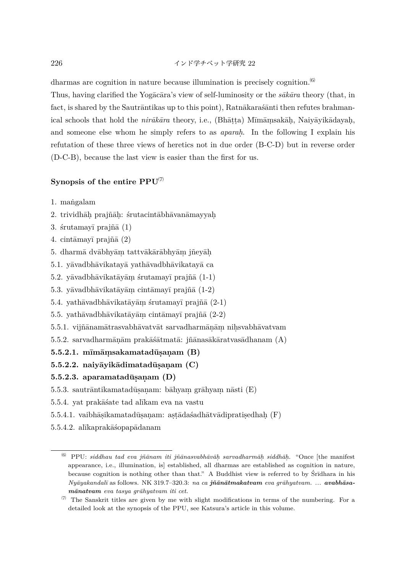226 インド学チベット学研究 22

dharmas are cognition in nature because illumination is precisely cognition.<sup>(6)</sup>

Thus, having clarified the Yogacāra's view of self-luminosity or the *sākāra* theory (that, in fact, is shared by the Sautrāntikas up to this point), Ratnākaraśanti then refutes brahmanical schools that hold the *nirākāra* theory, i.e., (Bhātṭa) Mīmāmsakāḥ, Naiyāyikādayaḥ, and someone else whom he simply refers to as *aparah.* . In the following I explain his refutation of these three views of heretics not in due order (B-C-D) but in reverse order (D-C-B), because the last view is easier than the first for us.

# **Synopsis of the entire PPU**<sup>⑺</sup>

- 1. mangalam
- 2. trividhāḥ prajñāḥ: śrutacintābhāvanāmayyaḥ
- 3.  $\text{šrutamayī praj\tilde{na} (1)}$
- 4. cintāmayī prajñā  $(2)$
- $5.$ dharmā $\rm{dv\bar{a}bhy\bar{a}m}$ tattvākārābhyām j<br/>ñeyāḥ
- 5.1. yāvadbhāvikatayā yathāvadbhāvikatayā ca
- 5.2. yāvadbhāvikatāyām śrutamayī prajñā  $(1-1)$
- 5.3. yāvadbhāvikatāyām cintāmayī prajñā  $(1-2)$
- 5.4. yathāvadbhāvikatāyām śrutamayī prajñā  $(2-1)$
- 5.5. yathāvadbhāvikatāyām cintāmayī prajñā  $(2-2)$
- $5.5.1.$ vijñānamātrasvabhāvatvāt sarvadharmāņām nih.svabhāvatvam
- $5.5.2.$  sarvadharmāņām prakāśā $t$ matā: jñānasākāratvasādhanam  $(A)$

# **5.5.2.1. m¯ım¯am. sakamatadus ¯.an. am (B)**

**5.5.2.2.** naiyāyikādimatadūsanam  $(C)$ 

# **5.5.2.3.** aparamatadūsaņam (D)

- 5.5.3. sautrāntikamatadūs.an. bāhyam grāhyam nāsti  $(E)$
- 5.5.4. yat prakāśate tad alīkam eva na vastu
- $5.5.4.1.$ vaibhāṣikamatadūṣaṇam: aṣṭādaśadhātvādipratiṣedhaḥ $(\mathrm{F})$
- 5.5.4.2. alīkaprakāśopapādanam

<sup>&</sup>lt;sup>(6)</sup> PPU: *siddhau tad eva jñānam iti jñānasvabhāvāḥ sarvadharmāḥ siddhāḥ. "Once [the manifest* appearance, i.e., illumination, is] established, all dharmas are established as cognition in nature, because cognition is nothing other than that." A Buddhist view is referred to by Srīdhara in his *Ny¯ayakandal¯ı* as follows. NK 319.7–320.3: *na ca j˜n¯an¯atmakatvam eva gr¯ahyatvam. ... avabh¯asam¯anatvam eva tasya gr¯ahyatvam iti cet.*

 $\alpha$  The Sanskrit titles are given by me with slight modifications in terms of the numbering. For a detailed look at the synopsis of the PPU, see Katsura's article in this volume.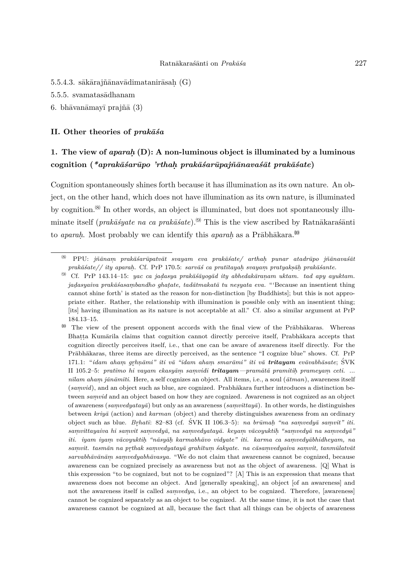- $5.5.4.3.$  sākārajñānavādimatanirāsaḥ  $(G)$
- 5.5.5. svamatasādhanam
- 6. bhāvanāmayī prajñā  $(3)$

#### **II.** Other theories of *prakāśa*

# **1. The view of** *aparah.* **(D): A non-luminous object is illuminated by a luminous** cognition (*\*aprak* $\bar{a}$ *sar* $\bar{u}$ *po 'rthah. prak* $\bar{a}$ *sar* $\bar{u}$ *paj* $\tilde{n}$ *<i>ānavas* $\tilde{a}$ *t prak* $\tilde{a}$ *sate*)

Cognition spontaneously shines forth because it has illumination as its own nature. An object, on the other hand, which does not have illumination as its own nature, is illuminated by cognition.<sup>(8)</sup> In other words, an object is illuminated, but does not spontaneously illuminate itself (*prak* $\bar{a}$ *syate na ca prak* $\bar{a}$ *sate*).<sup>(9)</sup> This is the view ascribed by Ratn $\bar{a}$ karas $\bar{a}$ anti to *aparah*. Most probably we can identify this *aparah* as a Prābhākara.<sup>00</sup>

<sup>⑻</sup> PPU: *j˜n¯anam. prak¯a´sar¯upatv¯at svayam eva prak¯a´sate/ arthah. punar atadr¯upo j˜n¯anava´s¯at prak¯a´sate// ity aparah. .* Cf. PrP 170.5: *sarv¯a´s ca prat¯ıtayah. svayam. pratyaks.¯ah. prak¯a´sante.*

<sup>⑼</sup> Cf. PrP 143.14–15: *yac ca jad. asya prak¯a´s¯ayog¯ad ity abhedak¯aran. am uktam. tad apy ayuktam. jadasyaiva prakāšasambandho ghatate, tadātmakatā tu nesyata eva.* "'Because an insentient thing cannot shine forth' is stated as the reason for non-distinction [by Buddhists]; but this is not appropriate either. Rather, the relationship with illumination is possible only with an insentient thing; [its] having illumination as its nature is not acceptable at all." Cf. also a similar argument at PrP 184.13–15.

<sup>&</sup>lt;sup>00</sup> The view of the present opponent accords with the final view of the Prābhākaras. Whereas Bhatta Kumārila claims that cognition cannot directly perceive itself, Prabhākara accepts that cognition directly perceives itself, i.e., that one can be aware of awareness itself directly. For the Prābhākaras, three items are directly perceived, as the sentence "I cognize blue" shows. Cf. PrP 171.1: "*idam aham grhnāmi" iti vā "idam aham smarāmi" iti vā tritayam evāvabhāsate; SVK ˚* II 105.2–5: *prat¯ımo hi vayam ekasy¯am. sam. vidi tritayam—pram¯at¯a pramitih. prameyam. ceti.* ... *n¯ılam aham. j¯an¯am¯ıti*. Here, a self cognizes an object. All items, i.e., a soul (*¯atman*), awareness itself (samvid), and an object such as blue, are cognized. Prabhakara further introduces a distinction between *samvid* and an object based on how they are cognized. Awareness is not cognized as an object of awareness (*sam. vedyatay¯a*) but only as an awareness (*sam. vittay¯a*). In other words, he distinguishes between *kriy¯a* (action) and *karman* (object) and thereby distinguishes awareness from an ordinary object such as blue. *Brhatī*: 82–83 (cf. ŚVK II 106.3–5): *na brūmah. <sup>"</sup>na samvedyā samvit" iti. ˚ sam. vittayaiva hi sam. vit sam. vedy¯a, na sam. vedyatay¯a. keyam. v¯acoyuktih. "sam. vedy¯a na sam. vedy¯a" iti. iyam iyam vācoyuktih.* "nāsyāh karmabhāvo vidyate" iti. karma ca samvedyābhidheyam, na *sam. vit. tasm¯an na pr thak sam. vedyatay¯a grah¯ıtum. ´sakyate. na c¯asam. vedyaiva sam. vit, tanm¯ulatv¯at sarvabhāvānām samvedyabhāvasya.* "We do not claim that awareness cannot be cognized, because awareness can be cognized precisely as awareness but not as the object of awareness. [Q] What is this expression "to be cognized, but not to be cognized"? [A] This is an expression that means that awareness does not become an object. And [generally speaking], an object [of an awareness] and not the awareness itself is called *samvedya*, i.e., an object to be cognized. Therefore, [awareness] cannot be cognized separately as an object to be cognized. At the same time, it is not the case that awareness cannot be cognized at all, because the fact that all things can be objects of awareness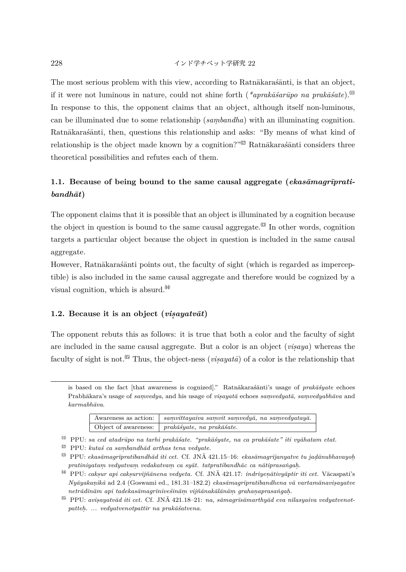228 インド学チベット学研究 22

The most serious problem with this view, according to Ratnākaras $\tilde{a}$ anti, is that an object, if it were not luminous in nature, could not shine forth (*\*aprakāšarūpo na prakāšate*).<sup>(!)</sup> In response to this, the opponent claims that an object, although itself non-luminous, can be illuminated due to some relationship (*sambandha*) with an illuminating cognition. Ratnākaras´ānti, then, questions this relationship and asks: "By means of what kind of relationship is the object made known by a cognition?" $\mathbb{Z}$  Ratn $\bar{a}$ kara $\bar{s}$ anti considers three theoretical possibilities and refutes each of them.

# 1.1. Because of being bound to the same causal aggregate (*ekasāmagrīprati* $bandh\bar{a}t)$

The opponent claims that it is possible that an object is illuminated by a cognition because the object in question is bound to the same causal aggregate. $^{\text{(3)}}$  In other words, cognition targets a particular object because the object in question is included in the same causal aggregate.

However, Ratnākaras´ānti points out, the faculty of sight (which is regarded as imperceptible) is also included in the same causal aggregate and therefore would be cognized by a visual cognition, which is absurd. $^{(4)}$ 

### 1.2. Because it is an object  $(visayatv\bar{a}t)$

The opponent rebuts this as follows: it is true that both a color and the faculty of sight are included in the same causal aggregate. But a color is an object (*visaya*) whereas the faculty of sight is not.<sup> $(5)$ </sup> Thus, the object-ness (*visayata*) of a color is the relationship that

is based on the fact [that awareness is cognized]." Ratnākaraśānti's usage of *prakāśyate* echoes Prabhākara's usage of *samvedya*, and his usage of *visayatā* echoes *samvedyatā*, *samvedyabhāva* and *karmabh¯ava*.

| Awareness as action:   samvittayaiva samvit samvedya, na samvedyataya. |
|------------------------------------------------------------------------|
| Object of awareness: $\int prak\bar{a}syate$ , na prak $\bar{a}s$ ate. |

<sup>⑾</sup> PPU: *sa ced atadr¯upo na tarhi prak¯a´sate. "prak¯a´syate, na ca prak¯a´sate" iti vy¯ahatam etat.*

<sup>&</sup>lt;sup>(12)</sup> PPU: *kutaś ca sambandhād arthas tena vedyate*.

 $^{(3)}$  PPU: *ekasāmagrīpratibandhād iti cet.* Cf. JN $\bar{A}$  421.15–16: *ekasāmagrījanyatve tu jadānubhavayoh*.  $\emph{pratiniyatam}$   $\emph{vedyatvam}$   $\emph{vedakatvam}$  ca  $\emph{syāt.}$  tatpratibandhāc ca nātiprasangah.

 $<sup>∄</sup>$  PPU: *caksur api caksurvijñānena vedyeta.* Cf. JNĀ 421.17: *indriyenātivyāptir iti cet.* Vācaspati's</sup> *Ny¯ayakan. ik¯a* ad 2.4 (Goswami ed., 181.31–182.2) *ekas¯amagr¯ıpratibandhena v¯a vartam¯anavis.ayatve*  $netr\bar{a}d\bar{n}\bar{a}m$  api tadekas $\bar{a}m$ agr $\bar{a}n\bar{u}v$ eśin $\bar{a}m$  *vijñ* $\bar{a}n$ *ak* $\bar{a}l\bar{a}n\bar{a}m$  *grahanaprasa* $\bar{n}g$ *ah.* 

<sup>&</sup>lt;sup>(5)</sup> PPU: avisayatvād iti cet. Cf. JNĀ 421.18-21: na, sāmagrīsāmarthyād eva nīlasyaiva vedyatvenot $pattern.$  *...* vedyatvenotpattir na prakāśatvena.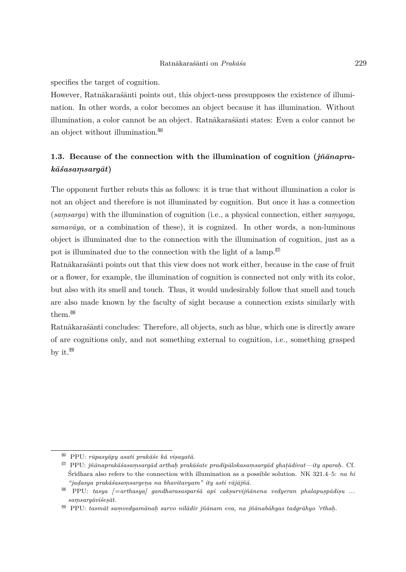specifies the target of cognition.

However, Ratnākarasanti points out, this object-ness presupposes the existence of illumination. In other words, a color becomes an object because it has illumination. Without illumination, a color cannot be an object. Ratnākaraśānti states: Even a color cannot be an object without illumination.<sup> $(16)$ </sup>

# **1.3.** Because of the connection with the illumination of cognition (*jñānapra* $k\bar{a}\acute{s}asamsarg\bar{a}t)$

The opponent further rebuts this as follows: it is true that without illumination a color is not an object and therefore is not illuminated by cognition. But once it has a connection (*samsarga*) with the illumination of cognition (i.e., a physical connection, either *samyoga*, *samav¯aya*, or a combination of these), it is cognized. In other words, a non-luminous object is illuminated due to the connection with the illumination of cognition, just as a pot is illuminated due to the connection with the light of a lamp. $\mathbb{I}^{(1)}$ 

Ratnākarasanti points out that this view does not work either, because in the case of fruit or a flower, for example, the illumination of cognition is connected not only with its color, but also with its smell and touch. Thus, it would undesirably follow that smell and touch are also made known by the faculty of sight because a connection exists similarly with them<sup>(18)</sup>

Ratnākarasanti concludes: Therefore, all objects, such as blue, which one is directly aware of are cognitions only, and not something external to cognition, i.e., something grasped by it. $^{(19)}$ 

<sup>⒃</sup> PPU: *r¯upasy¯apy asati prak¯a´se k¯a vis.ayat¯a*.

 $^{\text{\tiny{(II)}}}$  PPU:  $j\tilde{n}$ *ānaprakāšasaṃsargād arthah prakāšate pradīpālokasaṃsargād ghaṭādivat—ity aparaḥ.* Cf. Sr<del>d</del>hara also refers to the connection with illumination as a possible solution. NK 321.4–5: *na hi "jad. asya prak¯a´sasam. sargen. a na bhavitavyam" ity asti r¯aj¯aj˜n¯a.*

<sup>&</sup>lt;sup>08</sup> PPU: *tasya [=arthasya] gandharasasparśā api cakṣurvijñānena vedyeran phalapuṣpādiṣu ...*  $samsarq\bar{a}vi\acute{s}es\bar{a}t.$ 

<sup>&</sup>lt;sup>09</sup> PPU: *tasmāt samvedyamānah sarvo nīlādir jñānam eva, na jñānabāhyas tadgrāhyo 'rthah.*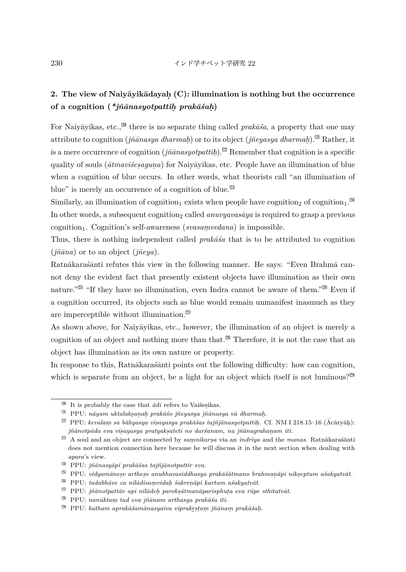# **2. The view of Naiy¯ayik¯adayah. (C): illumination is nothing but the occurrence of a cognition (***\*j˜n¯anasyotpattih. prak¯a´sah.* **)**

For Naiyayikas, etc.,<sup> $\omega$ </sup> there is no separate thing called *prakãsa*, a property that one may attribute to cognition (*jñānasya dharmaḥ*) or to its object (*jñeyasya dharmaḥ*).<sup>②</sup> Rather, it is a mere occurrence of cognition ( $j\tilde{n}\bar{a}nasyot path$ ).<sup>[2]</sup> Remember that cognition is a specific quality of souls ( $\bar{a}t$ mavišesaquna) for Naiyāyikas, etc. People have an illumination of blue when a cognition of blue occurs. In other words, what theorists call "an illumination of blue" is merely an occurrence of a cognition of blue. $\mathbb{S}^3$ 

Similarly, an illumination of cognition<sub>1</sub> exists when people have cognition<sub>2</sub> of cognition<sub>1</sub>.<sup>24</sup> In other words, a subsequent cognition<sub>2</sub> called *anuvyavas* $\bar{a}ya$  is required to grasp a previous cognition<sub>1</sub>. Cognition's self-awareness (*svasamvedana*) is impossible.

Thus, there is nothing independent called *prakāša* that is to be attributed to cognition  $(iñāna)$  or to an object  $(iñeya)$ .

Ratnākaras´ānti refutes this view in the following manner. He says: "Even Brahmā cannot deny the evident fact that presently existent objects have illumination as their own nature."<sup> $\mathcal{O}^{\otimes}$ </sup> "If they have no illumination, even Indra cannot be aware of them." $\mathcal{O}^{\otimes}$  Even if a cognition occurred, its objects such as blue would remain unmanifest inasmuch as they are imperceptible without illumination. $\binom{27}{1}$ 

As shown above, for Naiyāyikas, etc., however, the illumination of an object is merely a cognition of an object and nothing more than that.<sup><sup> $\otimes$ </sup> Therefore, it is not the case that an</sup> object has illumination as its own nature or property.

In response to this, Ratnākarasanti points out the following difficulty: how can cognition, which is separate from an object, be a light for an object which itself is not luminous?<sup> $\mathfrak{A}^{\otimes n}$ </sup>

 $\frac{20}{11}$  It is probably the case that  $\bar{a}di$  refers to Vaisesikas.

 $^{(2)}$  PPU: *nāyam uktalakṣaṇaḥ prakāśo jñeyasya jñānasya vā dharmaḥ.* 

 $^{\text{\textregistered}}$  PPU: *kevalam sa bāhyasya visayasya prakāśas tajñjānasyotpattiḥ*. Cf. NM I 218.15–16 (Ācāryāḥ):  $j\tilde{n}$ *ānotpāda eva visayasya pratyaksateti no daršanam, na jñānagrahanam iti.* 

 $^{\text{\textregistered}}$  A soul and an object are connected by  $\emph{saminkarsa}$  via an  $\emph{indriya}$  and the  $\emph{manas.}$  Ratnākaraśānti does not mention connection here because he will discuss it in the next section when dealing with *apara*'s view.

<sup>&</sup>lt;sup>(24</sup> PPU: *jñānasyāpi prakāśas tajñjānotpattir eva.* 

 $\mathbb{E}^{\infty}$  PPU: *vidyamānesv arthesv anubhavasiddhasya prakāśātmano brahmanāpi nikseptum aśakyatvāt.* 

<sup>⚫</sup> PPU: *tadabh¯ave ca n¯ıl¯adisam. vidah. ´sakren. ¯api kartum a´sakyatv¯at.*

 $\overset{\text{\small{(2)}}}{\sim}$  PPU: *jñānotpattāv api nīlādeh. paroksātmanāparisphuta eva rūpe sthitatvāt.* 

<sup>&</sup>lt;sup>(28</sup> PPU: *nanūktam tad eva jñānam arthasya prakāśa iti.* 

 $^{\textcircled{29}}$  PPU: *katham aprakāśamānasyaiva viprakrุstam jñānam prakāśah.*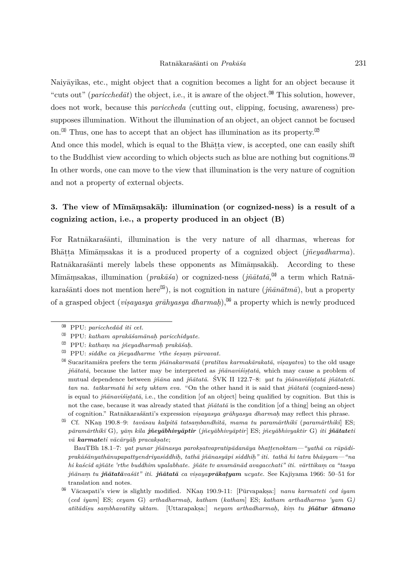Naiyāyikas, etc., might object that a cognition becomes a light for an object because it "cuts out" (*paricchedat*) the object, i.e., it is aware of the object.<sup> $\omega$ </sup> This solution, however, does not work, because this *pariccheda* (cutting out, clipping, focusing, awareness) presupposes illumination. Without the illumination of an object, an object cannot be focused on. <sup>(3)</sup> Thus, one has to accept that an object has illumination as its property.  $\mathbb{S}^2$ And once this model, which is equal to the Bhatta view, is accepted, one can easily shift to the Buddhist view according to which objects such as blue are nothing but cognitions.<sup> $\heartsuit$ </sup> In other words, one can move to the view that illumination is the very nature of cognition and not a property of external objects.

# **3. The view of M¯ım¯am. sak¯ah. : illumination (or cognized-ness) is a result of a cognizing action, i.e., a property produced in an object (B)**

For Ratnākaras´ānti, illumination is the very nature of all dharmas, whereas for Bhāṭṭa Mīmāṃsakas it is a produced property of a cognized object (*jñeyadharma*). Ratnākaraśānti merely labels these opponents as Mīmāmsakāḥ. According to these Mīmāṃsakas, illumination (*prakāśa*) or cognized-ness (*jñātatā*,<sup> $\mathfrak{A}$ </sup> a term which Ratnākaras´anti does not mention here<sup> $\mathcal{F}_0$ </sup>), is not cognition in nature ( $\tilde{m}\bar{a}n\bar{a}tm\bar{a}$ ), but a property of a grasped object (*visayasya grāhyasya dharmah*),<sup> $%$ </sup> a property which is newly produced

 $^{(30)}$  PPU: *paricchedad iti cet.* 

<sup>⚰</sup> PPU: *katham aprak¯a´sam¯anah. paricchidyate.*

 $\mathbb{R}^2$  PPU: *katham. na jñeyadharmah. prakāśah.* 

 $\overset{(33)}{\text{PPU}}$ : *siddhe ca jñeyadharme 'rthe śesam pūrvavat.* 

<sup>&</sup>lt;sup> $%$ </sup> Sucaritamista prefers the term *jñānakarmatā* (*pratītau karmakārakatā*, *visayatva*) to the old usage *jñātatā*, because the latter may be interpreted as *jñānavists*, which may cause a problem of mutual dependence between *jñāna* and *jñātatā*. ŚVK II 122.7–8: *yat tu jñānaviśis़tatā jñātateti*. *tan na. tatkarmatā hi sety uktam eva.* "On the other hand it is said that *jñātatā* (cognized-ness) is equal to *jñānavists<sub>i</sub>tatā*, i.e., the condition [of an object] being qualified by cognition. But this is not the case, because it was already stated that *jñātatā* is the condition [of a thing] being an object of cognition." Ratnākarasanti's expression *visayasya qrāhyasya dharmah* may reflect this phrase.

<sup>&</sup>lt;sup>(5)</sup> Cf. NKan 190.8–9: *tavāsau kalpitā tatsambandhitā, mama tu paramārthikī* (paramārthikī] ES; *p¯aram¯arthik¯ı* G)*, y¯am. kila j˜ney¯abhivy¯aptir* (*j˜ney¯abhivy¯aptir*] ES; *j˜ney¯abhivyaktir* G) *iti j˜n¯atateti*  $v\bar{a}$  **karmate**ti vācāryāh pracaksate;

BauTBh 18.1–7: *yat punar jñānasya parokṣatvapratipādanāya bhaṭṭenoktam—"yathā ca rūpādi* $p$ rakā $\tilde{s}$ ānyathānupapattyendriyasiddhiḥ, tathā jñānasyāpi siddhiḥ" iti. tathā hi tatra bhāṣyam—"na *hi ka´scid aj˜n¯ate 'rthe buddhim upalabhate. j˜n¯ate tv anum¯an¯ad avagacchati" iti. v¯arttikam. ca "tasya j˜n¯anam. tu j˜n¯atat¯ava´s¯at" iti. j˜n¯atat¯a ca vis.ayapr¯akat.yam ucyate.* See Kajiyama 1966: 50–51 for translation and notes.

<sup>&</sup>lt;sup>\$6</sup> Vācaspati's view is slightly modified. NKan 190.9-11: [Pūrvapakṣa:] *nanu karmateti ced iyam* (*ced iyam*] ES; *ceyam* G) *arthadharmah. , katham* (*katham*] ES; *katham arthadharmo 'yam* G*) at¯ıt¯adis.u sam. bhavat¯ıty uktam.* [Uttarapaks.a:] *neyam arthadharmah. , kim. tu j˜n¯atur ¯atmano*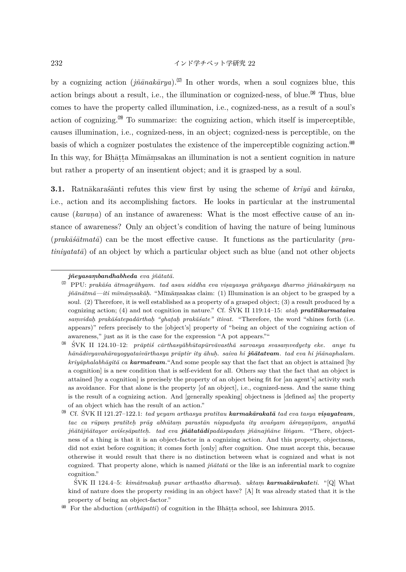232 インド学チベット学研究 22

by a cognizing action  $(i\tilde{n}\tilde{a}nak\tilde{a}rua)$ <sup> $\mathcal{O}$ </sup> In other words, when a soul cognizes blue, this action brings about a result, i.e., the illumination or cognized-ness, of blue.<sup>38</sup> Thus, blue comes to have the property called illumination, i.e., cognized-ness, as a result of a soul's action of cognizing. $\mathbb{S}^{\mathfrak{g}}$  To summarize: the cognizing action, which itself is imperceptible, causes illumination, i.e., cognized-ness, in an object; cognized-ness is perceptible, on the basis of which a cognizer postulates the existence of the imperceptible cognizing action.<sup>400</sup> In this way, for Bhāṭṭa Mīmāṃsakas an illumination is not a sentient cognition in nature but rather a property of an insentient object; and it is grasped by a soul.

**3.1.** Ratnākaras´ānti refutes this view first by using the scheme of *kriyā* and *kāraka*, i.e., action and its accomplishing factors. He looks in particular at the instrumental cause *(karana)* of an instance of awareness: What is the most effective cause of an instance of awareness? Only an object's condition of having the nature of being luminous  $(prak\bar{a}\bar{s}\bar{a}tmat\bar{a})$  can be the most effective cause. It functions as the particularity (*pratiniyatatā*) of an object by which a particular object such as blue (and not other objects

 $\frac{1}{2}$ SVK II 124.4–5: *kimātmakaḥ punar arthastho dharmaḥ. uktaṃ karmakārakateti.* "[Q] What kind of nature does the property residing in an object have? [A] It was already stated that it is the property of being an object-factor."

 $j\tilde{n}eya sambandhabheda eva j\tilde{n}\bar{a}tata.$ 

 $\frac{\Im}{\Box}$  PPU: *prakāśa ātmagrāhyam. tad asau siddha eva visayasya grāhyasya dharmo jñānakāryam na jñānātmā—iti mīmāṃsakāḥ.* "Mīmāṃsakas claim: (1) Illumination is an object to be grasped by a soul. (2) Therefore, it is well established as a property of a grasped object; (3) a result produced by a cognizing action; (4) and not cognition in nature." Cf. SVK II 119:14–15: *atah. pratītikarmataiva sam. vidah. prak¯a´satepad¯arthah. "ghat.ah. prak¯a´sate" itivat.* "Therefore, the word "shines forth (i.e. appears)" refers precisely to the [object's] property of "being an object of the cognizing action of awareness," just as it is the case for the expression "A pot appears.""

 $\cdot$ <sup>(3)</sup> SVK II 124.10–12: *prāptiś cārthasyābhūtapūrvāvasthā sarvasya svasamvedyety eke. anye tu h¯an¯adivyavah¯arayogyataiv¯arthasya pr¯aptir ity ¯ahuh. . saiva hi j˜n¯atatvam. tad eva hi j˜n¯anaphalam. kriyāphalabhāqitā ca karmatvam*. "And some people say that the fact that an object is attained [by a cognition] is a new condition that is self-evident for all. Others say that the fact that an object is attained [by a cognition] is precisely the property of an object being fit for [an agent's] activity such as avoidance. For that alone is the property [of an object], i.e., cognized-ness. And the same thing is the result of a cognizing action. And [generally speaking] objectness is [defined as] the property of an object which has the result of an action."

 $\overset{\text{\tiny{(3)}}}{\sim}$  Cf. SVK II 121.27–122.1: tad yeyam arthasya pratītau **karmakārakatā** tad eva tasya **visayatvam**,  $tac$  ca r $\bar{u}$ pam. *pratīteh. prāg abhūtam. parastān nispadyata ity avašyam āšrayanīyam, anyathā jñātājñātayor aviśesāpatteh. tad eva jñātatādipadāspadam jñānajñāne lingam. "There, object*ness of a thing is that it is an object-factor in a cognizing action. And this property, objectness, did not exist before cognition; it comes forth [only] after cognition. One must accept this, because otherwise it would result that there is no distinction between what is cognized and what is not cognized. That property alone, which is named *jñātatā* or the like is an inferential mark to cognize cognition."

 $\overset{\text{\tiny{(4)}}}{ }$  For the abduction (*arth* $\bar{a}$ *patti*) of cognition in the Bhāṭṭa school, see Ishimura 2015.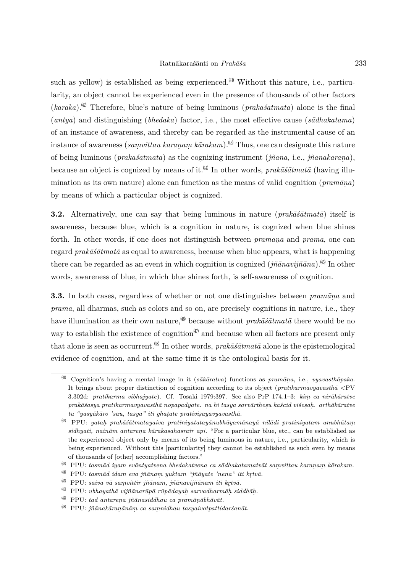such as yellow) is established as being experienced. Without this nature, i.e., particularity, an object cannot be experienced even in the presence of thousands of other factors  $(k\bar{a}raka)$ <sup>(4)</sup> Therefore, blue's nature of being luminous (*prak* $\bar{a}s\bar{a}tmat\bar{a}$ ) alone is the final (*antya*) and distinguishing (*bhedaka*) factor, i.e., the most effective cause (*s¯adhakatama*) of an instance of awareness, and thereby can be regarded as the instrumental cause of an instance of awareness (*samvittau karanam kārakam*).<sup>(43)</sup> Thus, one can designate this nature of being luminous (*prak¯a´s¯atmat¯a*) as the cognizing instrument (*j˜n¯ana,* i.e., *j˜n¯anakaran. a*), because an object is cognized by means of it.<sup> $\mu$ </sup> In other words, *prak* $\bar{a}\bar{s}\bar{a}t$ *mat* $\bar{a}$  (having illumination as its own nature) alone can function as the means of valid cognition ( $\text{pramāna}$ ) by means of which a particular object is cognized.

**3.2.** Alternatively, one can say that being luminous in nature  $(\text{prakāsātmatā})$  itself is awareness, because blue, which is a cognition in nature, is cognized when blue shines forth. In other words, if one does not distinguish between *pramana* and *prama*, one can regard *prakāšātmatā* as equal to awareness, because when blue appears, what is happening there can be regarded as an event in which cognition is cognized  $(j\tilde{n}\bar{a}navij\tilde{n}\bar{a}na)$ .<sup>(§</sup>) In other words, awareness of blue, in which blue shines forth, is self-awareness of cognition.

**3.3.** In both cases, regardless of whether or not one distinguishes between *pramāna* and *pram¯a*, all dharmas, such as colors and so on, are precisely cognitions in nature, i.e., they have illumination as their own nature,<sup> $\frac{46}{3}$ </sup> because without *prak* $\bar{a}\bar{s}\bar{a}t$ *mat* $\bar{a}$  there would be no way to establish the existence of cognition $\binom{d}{l}$  and because when all factors are present only that alone is seen as occurrent.<sup> $\omega$ </sup> In other words, *prak* $\bar{a}$ *satmata* alone is the epistemological evidence of cognition, and at the same time it is the ontological basis for it.

<sup>⚺</sup> Cognition's having a mental image in it (*s¯ak¯aratva*) functions as *pram¯an. a*, i.e., *vyavasth¯apaka*. It brings about proper distinction of cognition according to its object (*pratikarmavyavasth¯a <*PV 3.302d: *pratikarma vibhajyate*). Cf. Tosaki 1979:397. See also PrP 174.1–3: *kim. ca nir¯ak¯aratve*  $p$ rak $\tilde{a}$ *šasya pratikarmavyavasth* $\tilde{a}$  *nopapadyate. na hi tasya sarv* $\tilde{a}$ *rthes* $u$  *kaścid viśesah. arth* $\tilde{a}$ *k* $\tilde{a}$ *ratve tu "yasy¯ak¯aro 'sau, tasya" iti ghat.ate prativis.ayavyavasth¯a.*

 $\overset{42}{\sim}$  PPU: *yatah. prakāśātmatayaiva pratiniyatatayānubhūyamānayā nīlādi pratiniyatam anubhūtam sidhyati, nainām antarena kārakasahasrair api.* "For a particular blue, etc., can be established as the experienced object only by means of its being luminous in nature, i.e., particularity, which is being experienced. Without this [particularity] they cannot be established as such even by means of thousands of [other] accomplishing factors."

 $^{(43)}$  PPU: tasmād iyam evāntyatvena bhedakatvena ca sādhakatamatvāt samvittau karanam kārakam.

<sup>&</sup>lt;sup> $#$  **PPU:** *tasmād idam eva jñānam yuktam "jñāyate 'nena" iti krtvā.***<br><sup>∯</sup> PPU: saiva vā samvittin išānam. išānavijšānam iti lutvā</sup>** 

<sup>&</sup>lt;sup>(45)</sup> PPU: *saiva vā saṃvittir jñānam, jñānavijñānam iti kr̥tvā.* 

*<sup>˚</sup>* ⚿ PPU: *ubhayath¯a vij˜n¯anar¯up¯a r¯up¯adayah. sarvadharm¯ah. siddh¯ah. .*

 $^{(47)}$  PPU: *tad antarena jñānasiddhau ca pramānābhāvāt.* 

<sup>⛁</sup> PPU: *j˜n¯anak¯aran. ¯an¯am. ca sam. nidhau tasyaivotpattidar´san¯at.*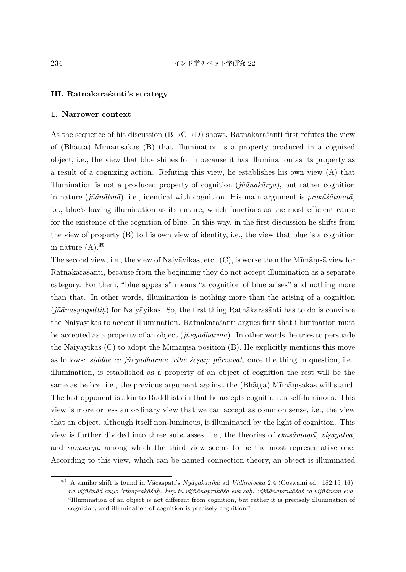### **III. Ratn¯akara´s¯anti's strategy**

#### **1. Narrower context**

As the sequence of his discussion (B→C→D) shows, Ratnākarasaati first refutes the view of (Bhāṭṭa) Mīmāṃsakas (B) that illumination is a property produced in a cognized object, i.e., the view that blue shines forth because it has illumination as its property as a result of a cognizing action. Refuting this view, he establishes his own view (A) that illumination is not a produced property of cognition  $(i\tilde{n}\bar{a}nak\bar{a}ru)$ , but rather cognition in nature  $(i\tilde{n}\bar{a}n\bar{a}tm\bar{a})$ , i.e., identical with cognition. His main argument is *prak* $\tilde{a}\tilde{s}\bar{a}tmat\bar{a}$ *,* i.e., blue's having illumination as its nature, which functions as the most efficient cause for the existence of the cognition of blue. In this way, in the first discussion he shifts from the view of property (B) to his own view of identity, i.e., the view that blue is a cognition in nature  $(A)$ .  $^{(49)}$ 

The second view, i.e., the view of Naiyāyikas, etc. (C), is worse than the Mīmāmsā view for Ratnākaras´ānti, because from the beginning they do not accept illumination as a separate category. For them, "blue appears" means "a cognition of blue arises" and nothing more than that. In other words, illumination is nothing more than the arising of a cognition (*jñānasyotpattih*) for Naiyāyikas. So, the first thing Ratnākaraśanti has to do is convince the Naiyāyikas to accept illumination. Ratnākarasanti argues first that illumination must be accepted as a property of an object (*jneyadharma*). In other words, he tries to persuade the Naiyāyikas (C) to adopt the Mīmāmsā position (B). He explicitly mentions this move as follows: *siddhe ca jñeyadharme 'rthe sesam pūrvavat*, once the thing in question, i.e., illumination, is established as a property of an object of cognition the rest will be the same as before, i.e., the previous argument against the (Bhāṭṭa) Mīmāṃsakas will stand. The last opponent is akin to Buddhists in that he accepts cognition as self-luminous. This view is more or less an ordinary view that we can accept as common sense, i.e., the view that an object, although itself non-luminous, is illuminated by the light of cognition. This view is further divided into three subclasses, i.e., the theories of *ekasāmagrī*, *visayatva*, and *samsarga*, among which the third view seems to be the most representative one. According to this view, which can be named connection theory, an object is illuminated

<sup>&</sup>lt;sup>(9)</sup> A similar shift is found in Vācaspati's *Nyāyakaṇikā* ad *Vidhiviveka* 2.4 (Goswami ed., 182.15−16): *na vij˜n¯an¯ad anyo 'rthaprak¯a´sah. . kim. tu vij˜n¯anaprak¯a´sa eva sah. . vij˜n¯anaprak¯a´sa´s ca vij˜n¯anam eva.* "Illumination of an object is not different from cognition, but rather it is precisely illumination of cognition; and illumination of cognition is precisely cognition."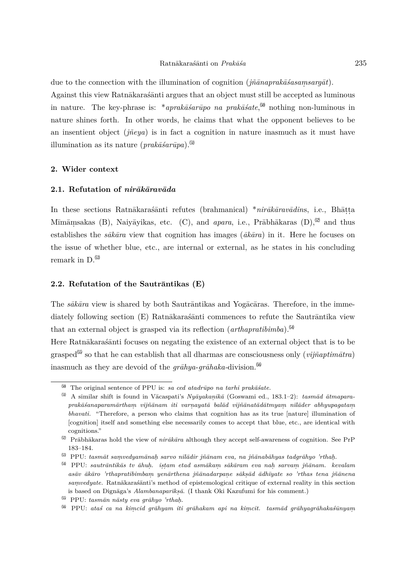due to the connection with the illumination of cognition ( $j\tilde{n}\bar{a}naprak\bar{a}'sasamsarg\bar{a}t$ ). Against this view Ratnākarasas antiques that an object must still be accepted as luminous in nature. The key-phrase is: \*aprak $\bar{a}$ *sarūpo na prak* $\bar{a}$ *sate*,<sup> $\bf{60}$ </sup> nothing non-luminous in nature shines forth. In other words, he claims that what the opponent believes to be an insentient object *(ineva)* is in fact a cognition in nature inasmuch as it must have illumination as its nature  $(prak\bar{a}\acute{s}ar\bar{u}pa)$ .<sup>(51)</sup>

#### **2. Wider context**

## 2.1. Refutation of *nirākāravāda*

In these sections Ratnākaraśānti refutes (brahmanical) \**nirākāravādins*, i.e., Bhāṭṭa Mīmāṃsakas (B), Naiyāyikas, etc. (C), and *apara*, i.e., Prābhākaras (D),<sup>@</sup> and thus establishes the  $s\bar{a}k\bar{a}ra$  view that cognition has images ( $\bar{a}k\bar{a}ra$ ) in it. Here he focuses on the issue of whether blue, etc., are internal or external, as he states in his concluding remark in  $D^{63}$ 

## **2.2. Refutation of the Sautrāntikas (E)**

The *sākāra* view is shared by both Sautrāntikas and Yogācāras. Therefore, in the immediately following section (E) Ratnākaras´ānti commences to refute the Sautrāntika view that an external object is grasped via its reflection (*arthapratibimba*).⛇

Here Ratnākarasanti focuses on negating the existence of an external object that is to be grasped<sup> $$$ </sup> so that he can establish that all dharmas are consciousness only (*vijñaptimātra*) inasmuch as they are devoid of the  $q\bar{a}hya-q\bar{a}haka$ -division.<sup>56</sup>

 $^{50}$  The original sentence of PPU is: *sa ced atadrūpo na tarhi prakāśate*.

 $^{50}$  A similar shift is found in Vācaspati's *Nyāyakaṇikā* (Goswami ed., 183.1–2): *tasmād ātmaparaprak¯a´sanaparam¯artham. vij˜n¯anam iti varn. ayat¯a bal¯ad vij˜n¯anat¯ad¯atmyam. n¯ıl¯ader abhyupagatam. bhavati.* "Therefore, a person who claims that cognition has as its true [nature] illumination of [cognition] itself and something else necessarily comes to accept that blue, etc., are identical with cognitions."

<sup>&</sup>lt;sup>52</sup> Prābhākaras hold the view of *nirākāra* although they accept self-awareness of cognition. See PrP 183–184.

 $^{\text{\textregistered}}$  PPU: *tasmāt samvedyamānah sarvo nīlādir jñānam eva, na jñānabāhyas tadgrāhyo 'rthah.* 

 $^{\$4}$  PPU: *sautrāntikās tv āhuḥ. istam etad asmākam sākāram eva naḥ sarvam jñānam. kevalam as¯av ¯ak¯aro 'rthapratibimbam. yen¯arthena j˜n¯anadarpan. e s¯aks.¯ad ¯adh¯ıyate so 'rthas tena j˜n¯anena*  $samedyate$ . Ratnākaraśānti's method of epistemological critique of external reality in this section is based on Dignāga's *Alambanaparīksā*. (I thank Oki Kazufumi for his comment.)

<sup>&</sup>lt;sup>(55)</sup> PPU: *tasmān nāsty eva grāhyo 'rthaḥ.* 

 $^{56}$  PPU: ataś ca na kimcid grāhyam iti grāhakam api na kimcit. tasmād grāhyagrāhakaśūnyam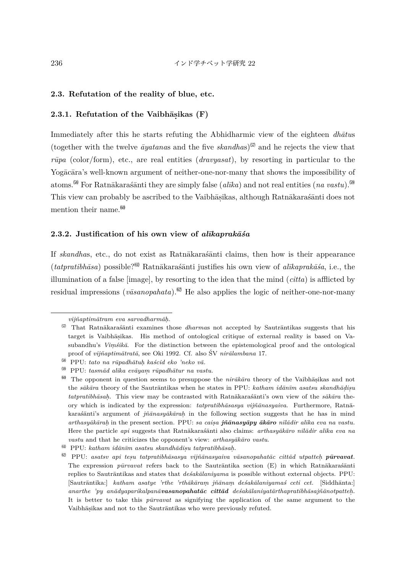## **2.3. Refutation of the reality of blue, etc.**

# **2.3.1.** Refutation of the Vaibhāṣikas (F)

Immediately after this he starts refuting the Abhidharmic view of the eighteen *dhātus* (together with the twelve  $āvatanas$  and the five  $skandhas$ )<sup> $57$ </sup> and he rejects the view that *rūpa* (color/form), etc., are real entities (*dravyasat*), by resorting in particular to the Yogācāra's well-known argument of neither-one-nor-many that shows the impossibility of atoms.<sup>58</sup> For Ratnākaras´ānti they are simply false (*alīka*) and not real entities (*na vastu*).<sup>59</sup> This view can probably be ascribed to the Vaibhāṣikas, although Ratnākaraśānti does not mention their name.<sup> $60$ </sup>

## **2.3.2.** Justification of his own view of *alīkaprakāśa*

If *skandhas*, etc., do not exist as Ratnākarasanti claims, then how is their appearance (*tatpratibhāsa*) possible?<sup>60</sup> Ratnākaraśānti justifies his own view of *alīkaprakāśa*, i.e., the illumination of a false [image], by resorting to the idea that the mind (*citta*) is afflicted by residual impressions ( $v\bar{a}sanophata$ ).<sup> $\otimes$ </sup> He also applies the logic of neither-one-nor-many

*vij˜naptim¯atram eva sarvadharm¯ah. .*

<sup>57</sup> That Ratnākarasanti examines those *dharmas* not accepted by Sautrāntikas suggests that his target is Vaibhāṣikas. His method of ontological critique of external reality is based on Vasubandhu's *Vimśikā*. For the distinction between the epistemological proof and the ontological proof of *vijñaptimātratā*, see Oki 1992. Cf. also ŚV *nirālambana* 17.

 $^{58}$  PPU: *tato na rūpadhātuh kaścid eko 'neko vā*.

 $^{[59]}$  PPU: tasmād alīka evāyam rūpadhātur na vastu.

<sup>&</sup>lt;sup>60</sup> The opponent in question seems to presuppose the *nirākāra* theory of the Vaibhāṣikas and not the *sākāra* theory of the Sautrāntikas when he states in PPU: *katham idānīm asatsu skandhādiṣu tatpratibhāsah.* This view may be contrasted with Ratnākaraśānti's own view of the *sākāra* theory which is indicated by the expression: *tatpratibhāsasya vijñānasyaiva*. Furthermore, Ratnākaras´ānti's argument of *jñānasyākāraḥ* in the following section suggests that he has in mind *arthasy¯ak¯arah.* in the present section. PPU: *sa cais.a j˜n¯anasy¯apy ¯ak¯aro n¯ıl¯adir al¯ıka eva na vastu.* Here the particle *api* suggests that Ratnākarasanti also claims: *arthasyākāro nīlādir alīka eva na vastu* and that he criticizes the opponent's view: *arthasyākāro vastu*.

 $^{60}$  PPU: *katham idānīm asatsu skandhādisu tatpratibhāsaḥ.* 

 $^{\circ\circ}$  PPU: *asatsv api tesu tatpratibhāsasya vijñānasyaiva vāsanopahatāc cittād utpatteh. pūrvavat.* The expression *pūrvavat* refers back to the Sautrāntika section (E) in which Ratnākaraśanti replies to Sautr $\bar{a}$ ntikas and states that *des<sup>akālaniyama* is possible without external objects. PPU:</sup> [Sautr¯antika:] *katham asatye 'rthe 'rth¯ak¯aram. j˜n¯anam. de´sak¯alaniyama´s ceti cet.* [Siddh¯anta:]  $\alpha$ narthe 'py anādyaparikalpanā**vasanopahatāc cittād** deśakālaniyatārthapratibhāsajñānotpatteh. It is better to take this *pūrvavat* as signifying the application of the same argument to the Vaibhāṣikas and not to the Sautrāntikas who were previously refuted.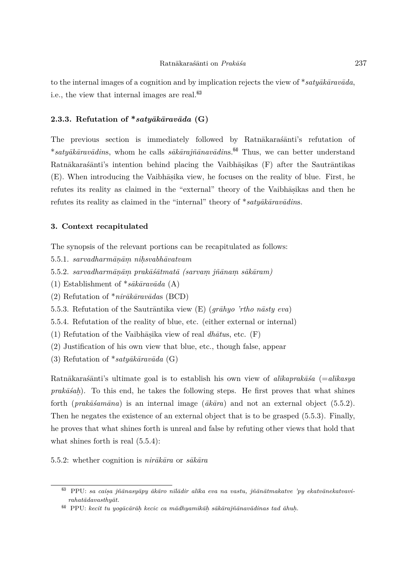to the internal images of a cognition and by implication rejects the view of \* $saty\bar{a}k\bar{a}rav\bar{a}da$ , i.e., the view that internal images are real.  $\overset{\text{(63)}}{ }$ 

# **2.3.3.** Refutation of  $*$ *saty* $\bar{a}$ *kāravāda* (G)

The previous section is immediately followed by Ratnākaras´anti's refutation of \*satyākāravādins, whom he calls sākārajñānavādins.<sup>®4</sup> Thus, we can better understand Ratnākaraśānti's intention behind placing the Vaibhāṣikas (F) after the Sautrāntikas (E). When introducing the Vaibhāṣika view, he focuses on the reality of blue. First, he refutes its reality as claimed in the "external" theory of the Vaibhāṣikas and then he refutes its reality as claimed in the "internal" theory of \**satyākāravādins*.

#### **3. Context recapitulated**

The synopsis of the relevant portions can be recapitulated as follows:

- $5.5.1.$  *sarvadharmānām nihsvabhāvatvam*
- $5.5.2.$  *sarvadharmāṇāṃ prakāśā* $t$ *matā (sarvaṃ jñānaṃ sākāram)*
- $(1)$  Establishment of \**s* $\bar{a}k\bar{a}rav\bar{a}da$  (A)
- (2) Refutation of  $*$ *nirākāravādas* (BCD)
- 5.5.3. Refutation of the Sautrāntika view (E) (*grāhyo 'rtho nāsty eva*)
- 5.5.4. Refutation of the reality of blue, etc. (either external or internal)
- $(1)$  Refutation of the Vaibhāṣika view of real *dhātus*, etc.  $(F)$
- (2) Justification of his own view that blue, etc., though false, appear
- $(3)$  Refutation of \*saty $\bar{a}k\bar{a}r$ av $\bar{a}da$   $(G)$

Ratnākaras´ānti's ultimate goal is to establish his own view of *alīkaprakās´a* (= *alīkasya prakāšah*). To this end, he takes the following steps. He first proves that what shines forth (*prakāšamāna*) is an internal image ( $\bar{a}k\bar{a}ra$ ) and not an external object (5.5.2). Then he negates the existence of an external object that is to be grasped (5.5.3). Finally, he proves that what shines forth is unreal and false by refuting other views that hold that what shines forth is real (5.5.4):

5.5.2: whether cognition is  $nirākāra$  or  $sākāra$ 

<sup>&</sup>lt;sup>63</sup> PPU: sa caisa jñānasyāpy ākāro nīlādir alīka eva na vastu, jñānātmakatve 'py ekatvānekatvavi $rahatādavasthyāt.$ 

 $^64$  PPU: *kecit tu yogācārāh kecic ca mādhyamikāh sākārajñānavādinas tad āhuh.*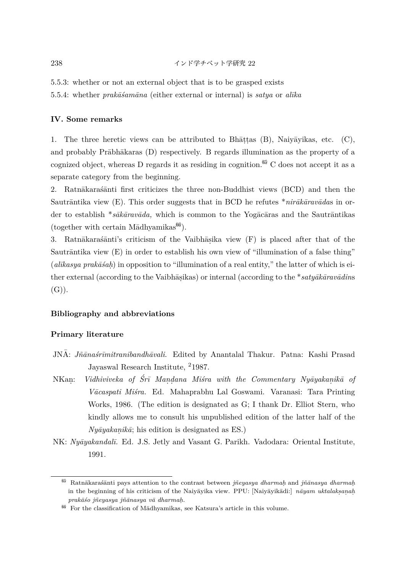5.5.3: whether or not an external object that is to be grasped exists

5.5.4: whether *prakāšamāna* (either external or internal) is *satya* or *alīka* 

# **IV. Some remarks**

1. The three heretic views can be attributed to Bh $\bar{a}$ ttas (B), Naiy $\bar{a}$ yikas, etc. (C), and probably Pr $\bar{a}$ bh $\bar{a}$ karas (D) respectively. B regards illumination as the property of a cognized object, whereas D regards it as residing in cognition.<sup> $65$ </sup> C does not accept it as a separate category from the beginning.

2. Ratnākaras $\tilde{a}$ nti first criticizes the three non-Buddhist views (BCD) and then the Sautr $\bar{a}$ ntika view (E). This order suggests that in BCD he refutes \* $nir\bar{a}k\bar{a}rav\bar{a}da$ s in order to establish \**sākāravāda*, which is common to the Yogācāras and the Sautrāntikas  $(together with certain Mādhyamikas<sup>(66)</sup>).$ 

3. Ratnākaraśānti's criticism of the Vaibhāṣika view (F) is placed after that of the Sautr $\bar{a}$ ntika view  $(E)$  in order to establish his own view of "illumination of a false thing" (*alīkasya prakāśah*) in opposition to "illumination of a real entity," the latter of which is either external (according to the Vaibhāṣikas) or internal (according to the <sup>\*</sup>*satyākāravādins*  $(G)$ ).

# **Bibliography and abbreviations**

# **Primary literature**

- JNA: *Jñānaśrīmitranibandhāvali*. Edited by Anantalal Thakur. Patna: Kashi Prasad Jayaswal Research Institute, <sup>2</sup>1987.
- NKan: *i Vidhiviveka of Śrī Maṇḍana Miśra with the Commentary Nyāyakaṇikā of V¯acaspati Mi´sra.* Ed. Mahaprabhu Lal Goswami. Varanasi: Tara Printing Works, 1986. (The edition is designated as G; I thank Dr. Elliot Stern, who kindly allows me to consult his unpublished edition of the latter half of the  $Ny\bar{a}yakanik\bar{a}$ ; his edition is designated as ES.)
- NK: *Ny¯ayakandal¯ı.* Ed. J.S. Jetly and Vasant G. Parikh. Vadodara: Oriental Institute, 1991.

<sup>&</sup>lt;sup>65</sup> Ratnākarasanti pays attention to the contrast between *jñeyasya dharmah* and *jñānasya dharmah*. in the beginning of his criticism of the Naiyavika view. PPU: [Naiyavikadi:] *navam uktalaks.an.ah. prak¯a´so j˜neyasya j˜n¯anasya v¯a dharmah. .*

 $^{66}$  For the classification of Mādhyamikas, see Katsura's article in this volume.